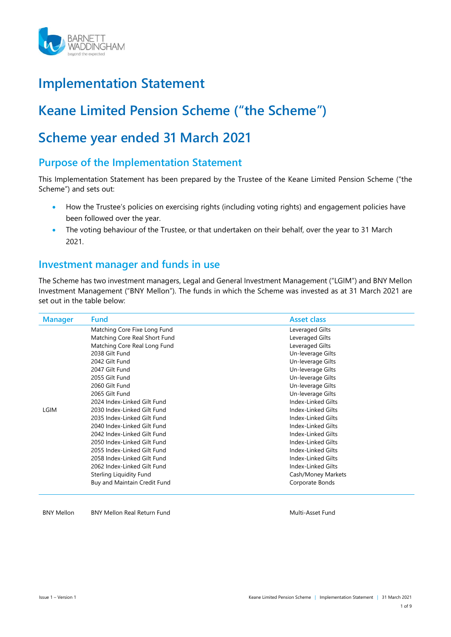

# Implementation Statement

# Keane Limited Pension Scheme ("the Scheme")

# Scheme year ended 31 March 2021

## Purpose of the Implementation Statement

This Implementation Statement has been prepared by the Trustee of the Keane Limited Pension Scheme ("the Scheme") and sets out:

- How the Trustee's policies on exercising rights (including voting rights) and engagement policies have been followed over the year.
- The voting behaviour of the Trustee, or that undertaken on their behalf, over the year to 31 March 2021.

## Investment manager and funds in use

The Scheme has two investment managers, Legal and General Investment Management ("LGIM") and BNY Mellon Investment Management ("BNY Mellon"). The funds in which the Scheme was invested as at 31 March 2021 are set out in the table below:

| <b>Manager</b> | <b>Fund</b>                   | <b>Asset class</b> |  |
|----------------|-------------------------------|--------------------|--|
|                | Matching Core Fixe Long Fund  | Leveraged Gilts    |  |
|                | Matching Core Real Short Fund | Leveraged Gilts    |  |
|                | Matching Core Real Long Fund  | Leveraged Gilts    |  |
|                | 2038 Gilt Fund                | Un-leverage Gilts  |  |
|                | 2042 Gilt Fund                | Un-leverage Gilts  |  |
|                | 2047 Gilt Fund                | Un-leverage Gilts  |  |
|                | 2055 Gilt Fund                | Un-leverage Gilts  |  |
|                | 2060 Gilt Fund                | Un-leverage Gilts  |  |
|                | 2065 Gilt Fund                | Un-leverage Gilts  |  |
|                | 2024 Index-Linked Gilt Fund   | Index-Linked Gilts |  |
| LGIM           | 2030 Index-Linked Gilt Fund   | Index-Linked Gilts |  |
|                | 2035 Index-Linked Gilt Fund   | Index-Linked Gilts |  |
|                | 2040 Index-Linked Gilt Fund   | Index-Linked Gilts |  |
|                | 2042 Index-Linked Gilt Fund   | Index-Linked Gilts |  |
|                | 2050 Index-Linked Gilt Fund   | Index-Linked Gilts |  |
|                | 2055 Index-Linked Gilt Fund   | Index-Linked Gilts |  |
|                | 2058 Index-Linked Gilt Fund   | Index-Linked Gilts |  |
|                | 2062 Index-Linked Gilt Fund   | Index-Linked Gilts |  |
|                | Sterling Liquidity Fund       | Cash/Money Markets |  |
|                | Buy and Maintain Credit Fund  | Corporate Bonds    |  |

#### BNY Mellon BNY Mellon Real Return Fund Multi-Asset Fund Multi-Asset Fund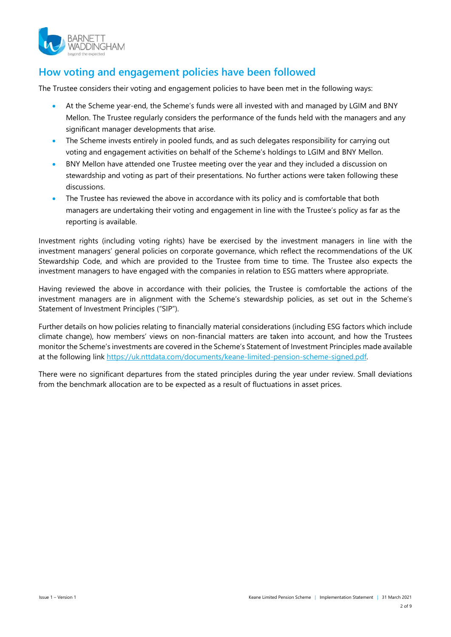

## How voting and engagement policies have been followed

The Trustee considers their voting and engagement policies to have been met in the following ways:

- At the Scheme year-end, the Scheme's funds were all invested with and managed by LGIM and BNY Mellon. The Trustee regularly considers the performance of the funds held with the managers and any significant manager developments that arise.
- The Scheme invests entirely in pooled funds, and as such delegates responsibility for carrying out voting and engagement activities on behalf of the Scheme's holdings to LGIM and BNY Mellon.
- BNY Mellon have attended one Trustee meeting over the year and they included a discussion on stewardship and voting as part of their presentations. No further actions were taken following these discussions.
- The Trustee has reviewed the above in accordance with its policy and is comfortable that both managers are undertaking their voting and engagement in line with the Trustee's policy as far as the reporting is available.

Investment rights (including voting rights) have be exercised by the investment managers in line with the investment managers' general policies on corporate governance, which reflect the recommendations of the UK Stewardship Code, and which are provided to the Trustee from time to time. The Trustee also expects the investment managers to have engaged with the companies in relation to ESG matters where appropriate.

Having reviewed the above in accordance with their policies, the Trustee is comfortable the actions of the investment managers are in alignment with the Scheme's stewardship policies, as set out in the Scheme's Statement of Investment Principles ("SIP").

Further details on how policies relating to financially material considerations (including ESG factors which include climate change), how members' views on non-financial matters are taken into account, and how the Trustees monitor the Scheme's investments are covered in the Scheme's Statement of Investment Principles made available at the following link https://uk.nttdata.com/documents/keane-limited-pension-scheme-signed.pdf.

There were no significant departures from the stated principles during the year under review. Small deviations from the benchmark allocation are to be expected as a result of fluctuations in asset prices.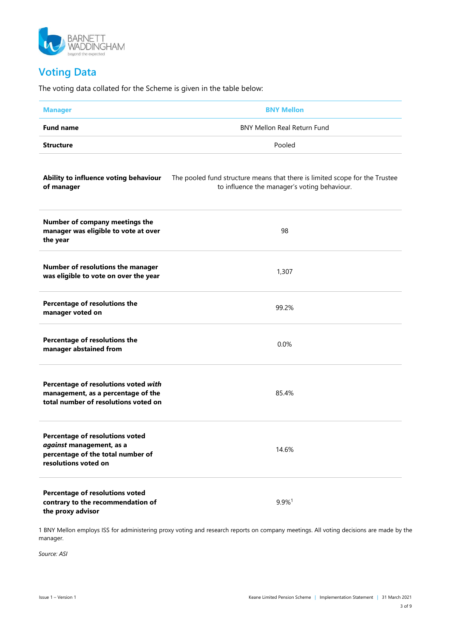

## Voting Data

The voting data collated for the Scheme is given in the table below:

| <b>Manager</b>                                                                                                           | <b>BNY Mellon</b>                                                                                                           |  |  |
|--------------------------------------------------------------------------------------------------------------------------|-----------------------------------------------------------------------------------------------------------------------------|--|--|
| <b>Fund name</b>                                                                                                         | <b>BNY Mellon Real Return Fund</b>                                                                                          |  |  |
| <b>Structure</b>                                                                                                         | Pooled                                                                                                                      |  |  |
| Ability to influence voting behaviour<br>of manager                                                                      | The pooled fund structure means that there is limited scope for the Trustee<br>to influence the manager's voting behaviour. |  |  |
| Number of company meetings the<br>manager was eligible to vote at over<br>the year                                       | 98                                                                                                                          |  |  |
| Number of resolutions the manager<br>was eligible to vote on over the year                                               | 1,307                                                                                                                       |  |  |
| Percentage of resolutions the<br>manager voted on                                                                        | 99.2%                                                                                                                       |  |  |
| Percentage of resolutions the<br>manager abstained from                                                                  | 0.0%                                                                                                                        |  |  |
| Percentage of resolutions voted with<br>management, as a percentage of the<br>total number of resolutions voted on       | 85.4%                                                                                                                       |  |  |
| Percentage of resolutions voted<br>against management, as a<br>percentage of the total number of<br>resolutions voted on | 14.6%                                                                                                                       |  |  |
| Percentage of resolutions voted<br>contrary to the recommendation of<br>the proxy advisor                                | 9.9%1                                                                                                                       |  |  |

1 BNY Mellon employs ISS for administering proxy voting and research reports on company meetings. All voting decisions are made by the manager.

Source: ASI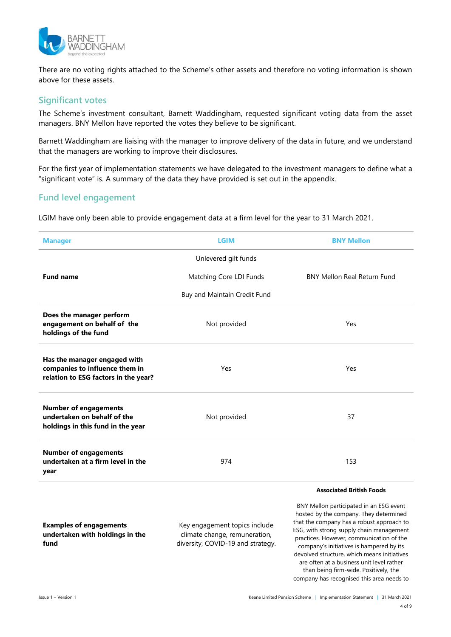

There are no voting rights attached to the Scheme's other assets and therefore no voting information is shown above for these assets.

### Significant votes

The Scheme's investment consultant, Barnett Waddingham, requested significant voting data from the asset managers. BNY Mellon have reported the votes they believe to be significant.

Barnett Waddingham are liaising with the manager to improve delivery of the data in future, and we understand that the managers are working to improve their disclosures.

For the first year of implementation statements we have delegated to the investment managers to define what a "significant vote" is. A summary of the data they have provided is set out in the appendix.

### Fund level engagement

LGIM have only been able to provide engagement data at a firm level for the year to 31 March 2021.

| <b>Manager</b>                                                                                         | <b>LGIM</b><br><b>BNY Mellon</b>                                                                    |                                                                                                                                                                                                                                                                                                                                                                                                                                                                                         |  |
|--------------------------------------------------------------------------------------------------------|-----------------------------------------------------------------------------------------------------|-----------------------------------------------------------------------------------------------------------------------------------------------------------------------------------------------------------------------------------------------------------------------------------------------------------------------------------------------------------------------------------------------------------------------------------------------------------------------------------------|--|
|                                                                                                        | Unlevered gilt funds                                                                                |                                                                                                                                                                                                                                                                                                                                                                                                                                                                                         |  |
| <b>Fund name</b>                                                                                       | Matching Core LDI Funds                                                                             | BNY Mellon Real Return Fund                                                                                                                                                                                                                                                                                                                                                                                                                                                             |  |
|                                                                                                        | Buy and Maintain Credit Fund                                                                        |                                                                                                                                                                                                                                                                                                                                                                                                                                                                                         |  |
| Does the manager perform<br>engagement on behalf of the<br>holdings of the fund                        | Not provided                                                                                        | Yes                                                                                                                                                                                                                                                                                                                                                                                                                                                                                     |  |
| Has the manager engaged with<br>companies to influence them in<br>relation to ESG factors in the year? | Yes                                                                                                 | Yes                                                                                                                                                                                                                                                                                                                                                                                                                                                                                     |  |
| <b>Number of engagements</b><br>undertaken on behalf of the<br>holdings in this fund in the year       | Not provided                                                                                        | 37                                                                                                                                                                                                                                                                                                                                                                                                                                                                                      |  |
| <b>Number of engagements</b><br>undertaken at a firm level in the<br>year                              | 974                                                                                                 | 153                                                                                                                                                                                                                                                                                                                                                                                                                                                                                     |  |
| <b>Examples of engagements</b><br>undertaken with holdings in the<br>fund                              | Key engagement topics include<br>climate change, remuneration,<br>diversity, COVID-19 and strategy. | <b>Associated British Foods</b><br>BNY Mellon participated in an ESG event<br>hosted by the company. They determined<br>that the company has a robust approach to<br>ESG, with strong supply chain management<br>practices. However, communication of the<br>company's initiatives is hampered by its<br>devolved structure, which means initiatives<br>are often at a business unit level rather<br>than being firm-wide. Positively, the<br>company has recognised this area needs to |  |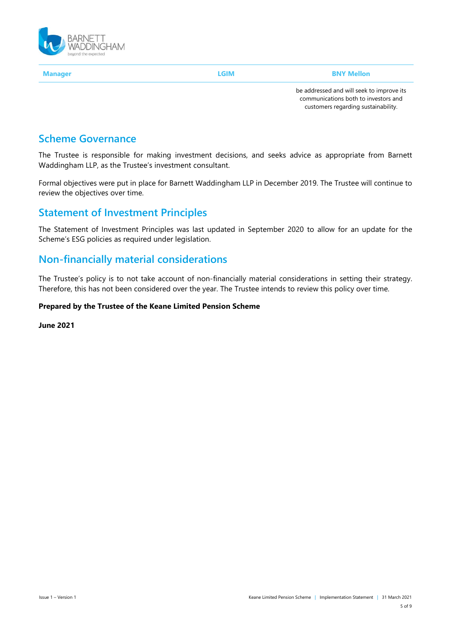

Manager **Example 2018** LGIM **BNY Mellon** 

be addressed and will seek to improve its communications both to investors and customers regarding sustainability.

## Scheme Governance

The Trustee is responsible for making investment decisions, and seeks advice as appropriate from Barnett Waddingham LLP, as the Trustee's investment consultant.

Formal objectives were put in place for Barnett Waddingham LLP in December 2019. The Trustee will continue to review the objectives over time.

## Statement of Investment Principles

The Statement of Investment Principles was last updated in September 2020 to allow for an update for the Scheme's ESG policies as required under legislation.

## Non-financially material considerations

The Trustee's policy is to not take account of non-financially material considerations in setting their strategy. Therefore, this has not been considered over the year. The Trustee intends to review this policy over time.

#### Prepared by the Trustee of the Keane Limited Pension Scheme

June 2021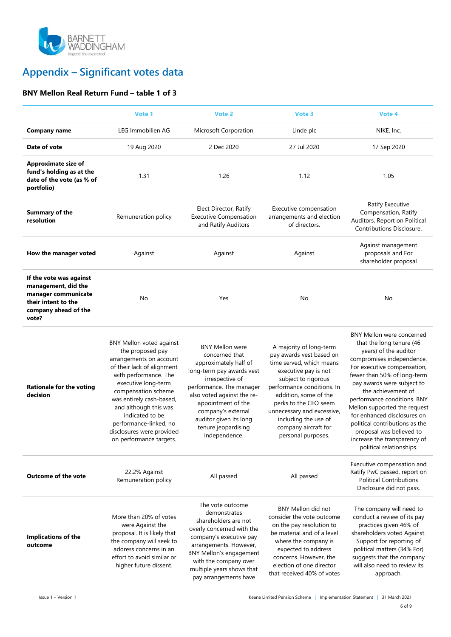

## Appendix – Significant votes data

### BNY Mellon Real Return Fund – table 1 of 3

|                                                                                                                               | Vote 1                                                                                                                                                                                                                                                                                                                                        | Vote 2                                                                                                                                                                                                                                                                                    | Vote 3                                                                                                                                                                                                                                                                                                             | Vote 4                                                                                                                                                                                                                                                                                                                                                                                                                                                |
|-------------------------------------------------------------------------------------------------------------------------------|-----------------------------------------------------------------------------------------------------------------------------------------------------------------------------------------------------------------------------------------------------------------------------------------------------------------------------------------------|-------------------------------------------------------------------------------------------------------------------------------------------------------------------------------------------------------------------------------------------------------------------------------------------|--------------------------------------------------------------------------------------------------------------------------------------------------------------------------------------------------------------------------------------------------------------------------------------------------------------------|-------------------------------------------------------------------------------------------------------------------------------------------------------------------------------------------------------------------------------------------------------------------------------------------------------------------------------------------------------------------------------------------------------------------------------------------------------|
| <b>Company name</b>                                                                                                           | LEG Immobilien AG                                                                                                                                                                                                                                                                                                                             | Microsoft Corporation                                                                                                                                                                                                                                                                     | Linde plc                                                                                                                                                                                                                                                                                                          | NIKE, Inc.                                                                                                                                                                                                                                                                                                                                                                                                                                            |
| Date of vote                                                                                                                  | 19 Aug 2020                                                                                                                                                                                                                                                                                                                                   | 2 Dec 2020                                                                                                                                                                                                                                                                                | 27 Jul 2020                                                                                                                                                                                                                                                                                                        | 17 Sep 2020                                                                                                                                                                                                                                                                                                                                                                                                                                           |
| Approximate size of<br>fund's holding as at the<br>date of the vote (as % of<br>portfolio)                                    | 1.31                                                                                                                                                                                                                                                                                                                                          | 1.26                                                                                                                                                                                                                                                                                      | 1.12                                                                                                                                                                                                                                                                                                               | 1.05                                                                                                                                                                                                                                                                                                                                                                                                                                                  |
| <b>Summary of the</b><br>resolution                                                                                           | Remuneration policy                                                                                                                                                                                                                                                                                                                           | Elect Director, Ratify<br><b>Executive Compensation</b><br>and Ratify Auditors                                                                                                                                                                                                            | Executive compensation<br>arrangements and election<br>of directors.                                                                                                                                                                                                                                               | Ratify Executive<br>Compensation, Ratify<br>Auditors, Report on Political<br>Contributions Disclosure.                                                                                                                                                                                                                                                                                                                                                |
| How the manager voted                                                                                                         | Against                                                                                                                                                                                                                                                                                                                                       | Against                                                                                                                                                                                                                                                                                   | Against                                                                                                                                                                                                                                                                                                            | Against management<br>proposals and For<br>shareholder proposal                                                                                                                                                                                                                                                                                                                                                                                       |
| If the vote was against<br>management, did the<br>manager communicate<br>their intent to the<br>company ahead of the<br>vote? | No                                                                                                                                                                                                                                                                                                                                            | Yes                                                                                                                                                                                                                                                                                       | No                                                                                                                                                                                                                                                                                                                 | No                                                                                                                                                                                                                                                                                                                                                                                                                                                    |
| <b>Rationale for the voting</b><br>decision                                                                                   | <b>BNY Mellon voted against</b><br>the proposed pay<br>arrangements on account<br>of their lack of alignment<br>with performance. The<br>executive long-term<br>compensation scheme<br>was entirely cash-based,<br>and although this was<br>indicated to be<br>performance-linked, no<br>disclosures were provided<br>on performance targets. | <b>BNY Mellon were</b><br>concerned that<br>approximately half of<br>long-term pay awards vest<br>irrespective of<br>performance. The manager<br>also voted against the re-<br>appointment of the<br>company's external<br>auditor given its long<br>tenure jeopardising<br>independence. | A majority of long-term<br>pay awards vest based on<br>time served, which means<br>executive pay is not<br>subject to rigorous<br>performance conditions. In<br>addition, some of the<br>perks to the CEO seem<br>unnecessary and excessive,<br>including the use of<br>company aircraft for<br>personal purposes. | BNY Mellon were concerned<br>that the long tenure (46<br>years) of the auditor<br>compromises independence.<br>For executive compensation,<br>fewer than 50% of long-term<br>pay awards were subject to<br>the achievement of<br>performance conditions. BNY<br>Mellon supported the request<br>for enhanced disclosures on<br>political contributions as the<br>proposal was believed to<br>increase the transparency of<br>political relationships. |
| <b>Outcome of the vote</b>                                                                                                    | 22.2% Against<br>Remuneration policy                                                                                                                                                                                                                                                                                                          | All passed                                                                                                                                                                                                                                                                                | All passed                                                                                                                                                                                                                                                                                                         | Executive compensation and<br>Ratify PwC passed, report on<br><b>Political Contributions</b><br>Disclosure did not pass.                                                                                                                                                                                                                                                                                                                              |
| Implications of the<br>outcome                                                                                                | More than 20% of votes<br>were Against the<br>proposal. It is likely that<br>the company will seek to<br>address concerns in an<br>effort to avoid similar or<br>higher future dissent.                                                                                                                                                       | The vote outcome<br>demonstrates<br>shareholders are not<br>overly concerned with the<br>company's executive pay<br>arrangements. However,<br><b>BNY Mellon's engagement</b><br>with the company over<br>multiple years shows that<br>pay arrangements have                               | <b>BNY Mellon did not</b><br>consider the vote outcome<br>on the pay resolution to<br>be material and of a level<br>where the company is<br>expected to address<br>concerns. However, the<br>election of one director<br>that received 40% of votes                                                                | The company will need to<br>conduct a review of its pay<br>practices given 46% of<br>shareholders voted Against.<br>Support for reporting of<br>political matters (34% For)<br>suggests that the company<br>will also need to review its<br>approach.                                                                                                                                                                                                 |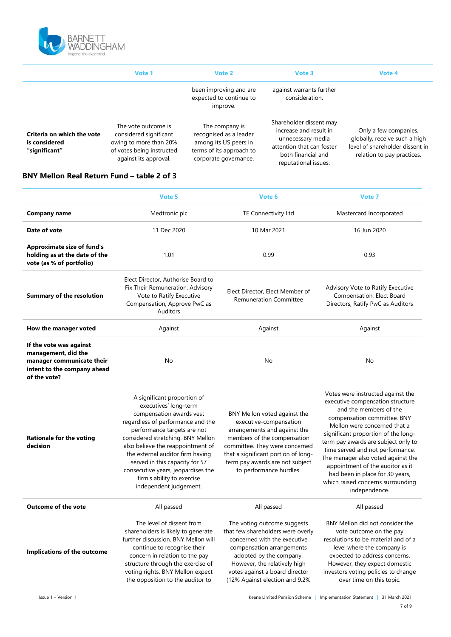

|                                                              | Vote 1                                                                                                                        | Vote 2                                                                                                                 | Vote 3                                                                                                                                            | Vote 4                                                                                                                  |
|--------------------------------------------------------------|-------------------------------------------------------------------------------------------------------------------------------|------------------------------------------------------------------------------------------------------------------------|---------------------------------------------------------------------------------------------------------------------------------------------------|-------------------------------------------------------------------------------------------------------------------------|
|                                                              |                                                                                                                               | been improving and are<br>expected to continue to<br>improve.                                                          | against warrants further<br>consideration.                                                                                                        |                                                                                                                         |
| Criteria on which the vote<br>is considered<br>"significant" | The vote outcome is<br>considered significant<br>owing to more than 20%<br>of votes being instructed<br>against its approval. | The company is<br>recognised as a leader<br>among its US peers in<br>terms of its approach to<br>corporate governance. | Shareholder dissent may<br>increase and result in<br>unnecessary media<br>attention that can foster<br>both financial and<br>reputational issues. | Only a few companies,<br>globally, receive such a high<br>level of shareholder dissent in<br>relation to pay practices. |

#### BNY Mellon Real Return Fund – table 2 of 3

|                                                                                                                            | Vote 5                                                                                                                                                                                                                                                                                                                                                                                             | Vote 6                                                                                                                                                                                                                                                       | Vote 7                                                                                                                                                                                                                                                                                                                                                                                                                                              |
|----------------------------------------------------------------------------------------------------------------------------|----------------------------------------------------------------------------------------------------------------------------------------------------------------------------------------------------------------------------------------------------------------------------------------------------------------------------------------------------------------------------------------------------|--------------------------------------------------------------------------------------------------------------------------------------------------------------------------------------------------------------------------------------------------------------|-----------------------------------------------------------------------------------------------------------------------------------------------------------------------------------------------------------------------------------------------------------------------------------------------------------------------------------------------------------------------------------------------------------------------------------------------------|
| <b>Company name</b>                                                                                                        | Medtronic plc                                                                                                                                                                                                                                                                                                                                                                                      | TE Connectivity Ltd                                                                                                                                                                                                                                          | Mastercard Incorporated                                                                                                                                                                                                                                                                                                                                                                                                                             |
| Date of vote                                                                                                               | 11 Dec 2020                                                                                                                                                                                                                                                                                                                                                                                        | 10 Mar 2021                                                                                                                                                                                                                                                  | 16 Jun 2020                                                                                                                                                                                                                                                                                                                                                                                                                                         |
| <b>Approximate size of fund's</b><br>holding as at the date of the<br>vote (as % of portfolio)                             | 1.01                                                                                                                                                                                                                                                                                                                                                                                               | 0.99                                                                                                                                                                                                                                                         | 0.93                                                                                                                                                                                                                                                                                                                                                                                                                                                |
| Summary of the resolution                                                                                                  | Elect Director, Authorise Board to<br>Fix Their Remuneration, Advisory<br>Vote to Ratify Executive<br>Compensation, Approve PwC as<br><b>Auditors</b>                                                                                                                                                                                                                                              | Elect Director, Elect Member of<br><b>Remuneration Committee</b>                                                                                                                                                                                             | Advisory Vote to Ratify Executive<br>Compensation, Elect Board<br>Directors, Ratify PwC as Auditors                                                                                                                                                                                                                                                                                                                                                 |
| How the manager voted                                                                                                      | Against                                                                                                                                                                                                                                                                                                                                                                                            | Against                                                                                                                                                                                                                                                      | Against                                                                                                                                                                                                                                                                                                                                                                                                                                             |
| If the vote was against<br>management, did the<br>manager communicate their<br>intent to the company ahead<br>of the vote? | No                                                                                                                                                                                                                                                                                                                                                                                                 | No                                                                                                                                                                                                                                                           | No                                                                                                                                                                                                                                                                                                                                                                                                                                                  |
| <b>Rationale for the voting</b><br>decision                                                                                | A significant proportion of<br>executives' long-term<br>compensation awards vest<br>regardless of performance and the<br>performance targets are not<br>considered stretching. BNY Mellon<br>also believe the reappointment of<br>the external auditor firm having<br>served in this capacity for 57<br>consecutive years, jeopardises the<br>firm's ability to exercise<br>independent judgement. | BNY Mellon voted against the<br>executive-compensation<br>arrangements and against the<br>members of the compensation<br>committee. They were concerned<br>that a significant portion of long-<br>term pay awards are not subject<br>to performance hurdles. | Votes were instructed against the<br>executive compensation structure<br>and the members of the<br>compensation committee. BNY<br>Mellon were concerned that a<br>significant proportion of the long-<br>term pay awards are subject only to<br>time served and not performance.<br>The manager also voted against the<br>appointment of the auditor as it<br>had been in place for 30 years,<br>which raised concerns surrounding<br>independence. |
| <b>Outcome of the vote</b>                                                                                                 | All passed                                                                                                                                                                                                                                                                                                                                                                                         | All passed                                                                                                                                                                                                                                                   | All passed                                                                                                                                                                                                                                                                                                                                                                                                                                          |
| Implications of the outcome                                                                                                | The level of dissent from<br>shareholders is likely to generate<br>further discussion. BNY Mellon will<br>continue to recognise their<br>concern in relation to the pay<br>structure through the exercise of<br>voting rights. BNY Mellon expect<br>the opposition to the auditor to                                                                                                               | The voting outcome suggests<br>that few shareholders were overly<br>concerned with the executive<br>compensation arrangements<br>adopted by the company.<br>However, the relatively high<br>votes against a board director<br>(12% Against election and 9.2% | BNY Mellon did not consider the<br>vote outcome on the pay<br>resolutions to be material and of a<br>level where the company is<br>expected to address concerns.<br>However, they expect domestic<br>investors voting policies to change<br>over time on this topic.                                                                                                                                                                                |

Issue 1 – Version 1 Keane Limited Pension Scheme | Implementation Statement | 31 March 2021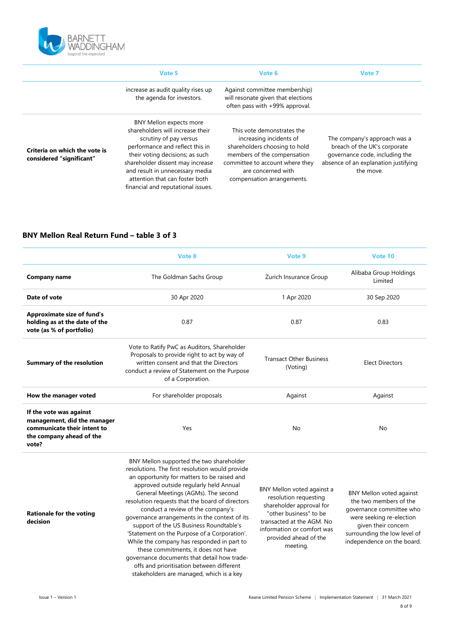

|                                                           | Vote 5                                                                                                                                                                                                                                                                                                            | Vote 6                                                                                                                                                                                                       | Vote 7                                                                                                                                              |
|-----------------------------------------------------------|-------------------------------------------------------------------------------------------------------------------------------------------------------------------------------------------------------------------------------------------------------------------------------------------------------------------|--------------------------------------------------------------------------------------------------------------------------------------------------------------------------------------------------------------|-----------------------------------------------------------------------------------------------------------------------------------------------------|
|                                                           | increase as audit quality rises up<br>the agenda for investors.                                                                                                                                                                                                                                                   | Against committee membership)<br>will resonate given that elections<br>often pass with +99% approval.                                                                                                        |                                                                                                                                                     |
| Criteria on which the vote is<br>considered "significant" | <b>BNY Mellon expects more</b><br>shareholders will increase their<br>scrutiny of pay versus<br>performance and reflect this in<br>their voting decisions; as such<br>shareholder dissent may increase<br>and result in unnecessary media<br>attention that can foster both<br>financial and reputational issues. | This vote demonstrates the<br>increasing incidents of<br>shareholders choosing to hold<br>members of the compensation<br>committee to account where they<br>are concerned with<br>compensation arrangements. | The company's approach was a<br>breach of the UK's corporate<br>governance code, including the<br>absence of an explanation justifying<br>the move. |

#### BNY Mellon Real Return Fund – table 3 of 3

|                                                                                                                            | Vote 8                                                                                                                                                                                                                                                                                                                                                                                                                                                                                                                                                                                                                                                                                       | Vote 9                                                                                                                                                                                                    | Vote 10                                                                                                                                                                                                |
|----------------------------------------------------------------------------------------------------------------------------|----------------------------------------------------------------------------------------------------------------------------------------------------------------------------------------------------------------------------------------------------------------------------------------------------------------------------------------------------------------------------------------------------------------------------------------------------------------------------------------------------------------------------------------------------------------------------------------------------------------------------------------------------------------------------------------------|-----------------------------------------------------------------------------------------------------------------------------------------------------------------------------------------------------------|--------------------------------------------------------------------------------------------------------------------------------------------------------------------------------------------------------|
| <b>Company name</b>                                                                                                        | The Goldman Sachs Group                                                                                                                                                                                                                                                                                                                                                                                                                                                                                                                                                                                                                                                                      | Zurich Insurance Group                                                                                                                                                                                    | Alibaba Group Holdings<br>Limited                                                                                                                                                                      |
| Date of vote                                                                                                               | 30 Apr 2020                                                                                                                                                                                                                                                                                                                                                                                                                                                                                                                                                                                                                                                                                  | 1 Apr 2020                                                                                                                                                                                                | 30 Sep 2020                                                                                                                                                                                            |
| <b>Approximate size of fund's</b><br>holding as at the date of the<br>vote (as % of portfolio)                             | 0.87                                                                                                                                                                                                                                                                                                                                                                                                                                                                                                                                                                                                                                                                                         | 0.87                                                                                                                                                                                                      | 0.83                                                                                                                                                                                                   |
| <b>Summary of the resolution</b>                                                                                           | Vote to Ratify PwC as Auditors, Shareholder<br>Proposals to provide right to act by way of<br>written consent and that the Directors<br>conduct a review of Statement on the Purpose<br>of a Corporation.                                                                                                                                                                                                                                                                                                                                                                                                                                                                                    | <b>Transact Other Business</b><br>(Voting)                                                                                                                                                                | <b>Elect Directors</b>                                                                                                                                                                                 |
| How the manager voted                                                                                                      | For shareholder proposals                                                                                                                                                                                                                                                                                                                                                                                                                                                                                                                                                                                                                                                                    | Against                                                                                                                                                                                                   | Against                                                                                                                                                                                                |
| If the vote was against<br>management, did the manager<br>communicate their intent to<br>the company ahead of the<br>vote? | Yes                                                                                                                                                                                                                                                                                                                                                                                                                                                                                                                                                                                                                                                                                          | No                                                                                                                                                                                                        | No                                                                                                                                                                                                     |
| <b>Rationale for the voting</b><br>decision                                                                                | BNY Mellon supported the two shareholder<br>resolutions. The first resolution would provide<br>an opportunity for matters to be raised and<br>approved outside regularly held Annual<br>General Meetings (AGMs). The second<br>resolution requests that the board of directors<br>conduct a review of the company's<br>governance arrangements in the context of its<br>support of the US Business Roundtable's<br>'Statement on the Purpose of a Corporation'.<br>While the company has responded in part to<br>these commitments, it does not have<br>governance documents that detail how trade-<br>offs and prioritisation between different<br>stakeholders are managed, which is a key | BNY Mellon voted against a<br>resolution requesting<br>shareholder approval for<br>"other business" to be<br>transacted at the AGM. No<br>information or comfort was<br>provided ahead of the<br>meeting. | <b>BNY Mellon voted against</b><br>the two members of the<br>governance committee who<br>were seeking re-election<br>given their concern<br>surrounding the low level of<br>independence on the board. |